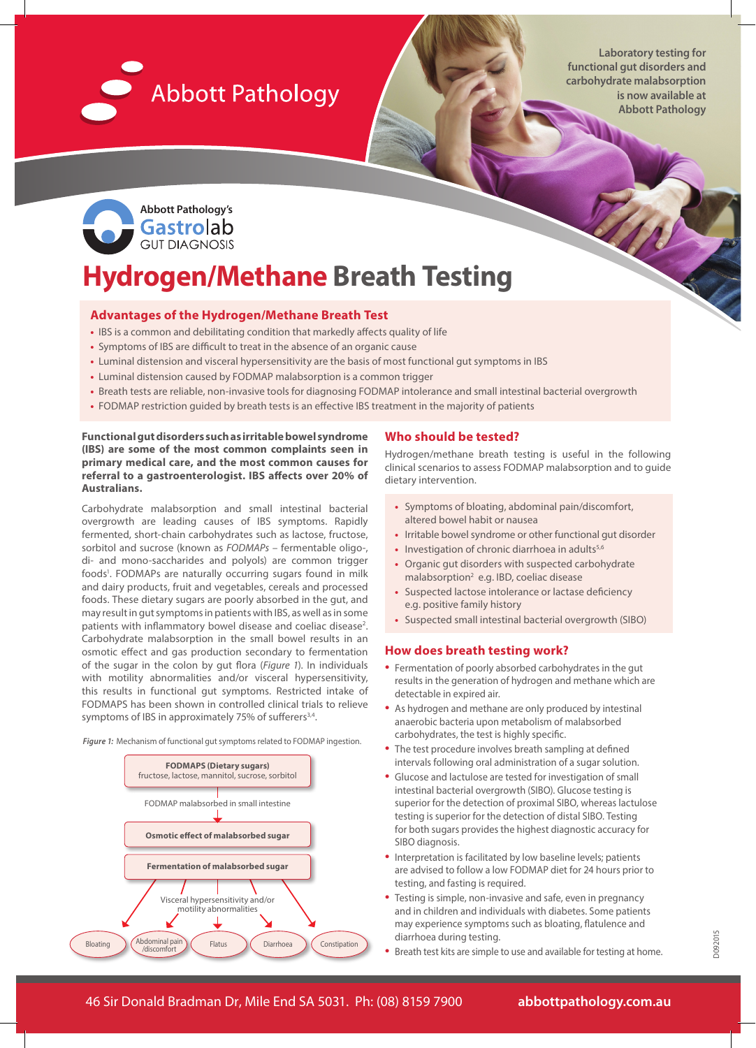

**Laboratory testing for functional gut disorders and carbohydrate malabsorption is now available at Abbott Pathology**



# **Hydrogen/Methane Breath Testing**

#### **Advantages of the Hydrogen/Methane Breath Test**

- **•** IBS is a common and debilitating condition that markedly affects quality of life
- **•** Symptoms of IBS are difficult to treat in the absence of an organic cause
- **•** Luminal distension and visceral hypersensitivity are the basis of most functional gut symptoms in IBS
- **•** Luminal distension caused by FODMAP malabsorption is a common trigger
- **•** Breath tests are reliable, non-invasive tools for diagnosing FODMAP intolerance and small intestinal bacterial overgrowth
- **•** FODMAP restriction guided by breath tests is an effective IBS treatment in the majority of patients

**Functional gut disorders such as irritable bowel syndrome (IBS) are some of the most common complaints seen in primary medical care, and the most common causes for referral to a gastroenterologist. IBS affects over 20% of Australians.**

Carbohydrate malabsorption and small intestinal bacterial overgrowth are leading causes of IBS symptoms. Rapidly fermented, short-chain carbohydrates such as lactose, fructose, sorbitol and sucrose (known as *FODMAPs* – fermentable oligo-, di- and mono-saccharides and polyols) are common trigger foods<sup>1</sup>. FODMAPs are naturally occurring sugars found in milk and dairy products, fruit and vegetables, cereals and processed foods. These dietary sugars are poorly absorbed in the gut, and may result in gut symptoms in patients with IBS, as well as in some patients with inflammatory bowel disease and coeliac disease<sup>2</sup>. Carbohydrate malabsorption in the small bowel results in an osmotic effect and gas production secondary to fermentation of the sugar in the colon by gut flora (*Figure 1*). In individuals with motility abnormalities and/or visceral hypersensitivity, this results in functional gut symptoms. Restricted intake of FODMAPS has been shown in controlled clinical trials to relieve symptoms of IBS in approximately 75% of sufferers<sup>3,4</sup>.

*Figure 1:* Mechanism of functional gut symptoms related to FODMAP ingestion.



#### **Who should be tested?**

Hydrogen/methane breath testing is useful in the following clinical scenarios to assess FODMAP malabsorption and to guide dietary intervention.

- **•** Symptoms of bloating, abdominal pain/discomfort, altered bowel habit or nausea
- **•** Irritable bowel syndrome or other functional gut disorder
- Investigation of chronic diarrhoea in adults<sup>5,6</sup>
- **•** Organic gut disorders with suspected carbohydrate malabsorption<sup>2</sup> e.g. IBD, coeliac disease
- **•** Suspected lactose intolerance or lactase deficiency e.g. positive family history
- **•** Suspected small intestinal bacterial overgrowth (SIBO)

#### **How does breath testing work?**

- Fermentation of poorly absorbed carbohydrates in the gut results in the generation of hydrogen and methane which are detectable in expired air.
- As hydrogen and methane are only produced by intestinal anaerobic bacteria upon metabolism of malabsorbed carbohydrates, the test is highly specific.
- The test procedure involves breath sampling at defined intervals following oral administration of a sugar solution.
- Glucose and lactulose are tested for investigation of small intestinal bacterial overgrowth (SIBO). Glucose testing is superior for the detection of proximal SIBO, whereas lactulose testing is superior for the detection of distal SIBO. Testing for both sugars provides the highest diagnostic accuracy for SIBO diagnosis.
- Interpretation is facilitated by low baseline levels; patients are advised to follow a low FODMAP diet for 24 hours prior to testing, and fasting is required.
- Testing is simple, non-invasive and safe, even in pregnancy and in children and individuals with diabetes. Some patients may experience symptoms such as bloating, flatulence and diarrhoea during testing.
- Breath test kits are simple to use and available for testing at home.